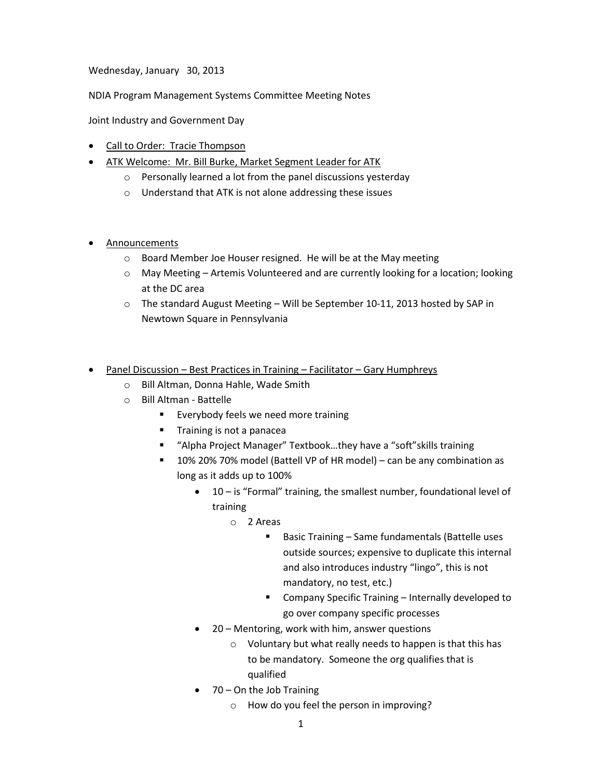Wednesday, January 30, 2013

NDIA Program Management Systems Committee Meeting Notes

Joint Industry and Government Day

- Call to Order: Tracie Thompson
- ATK Welcome: Mr. Bill Burke, Market Segment Leader for ATK
	- o Personally learned a lot from the panel discussions yesterday
	- o Understand that ATK is not alone addressing these issues
- **Announcements** 
	- o Board Member Joe Houser resigned. He will be at the May meeting
	- $\circ$  May Meeting Artemis Volunteered and are currently looking for a location; looking at the DC area
	- o The standard August Meeting Will be September 10-11, 2013 hosted by SAP in Newtown Square in Pennsylvania
- Panel Discussion Best Practices in Training Facilitator Gary Humphreys
	- o Bill Altman, Donna Hahle, Wade Smith
	- o Bill Altman Battelle
		- **Everybody feels we need more training**
		- **Training is not a panacea**
		- "Alpha Project Manager" Textbook...they have a "soft" skills training
		- 10% 20% 70% model (Battell VP of HR model) can be any combination as long as it adds up to 100%
			- 10 is "Formal" training, the smallest number, foundational level of training
				- o 2 Areas
					- Basic Training Same fundamentals (Battelle uses outside sources; expensive to duplicate this internal and also introduces industry "lingo", this is not mandatory, no test, etc.)
					- **E** Company Specific Training Internally developed to go over company specific processes
			- 20 Mentoring, work with him, answer questions
				- o Voluntary but what really needs to happen is that this has to be mandatory. Someone the org qualifies that is qualified
			- 70 On the Job Training
				- o How do you feel the person in improving?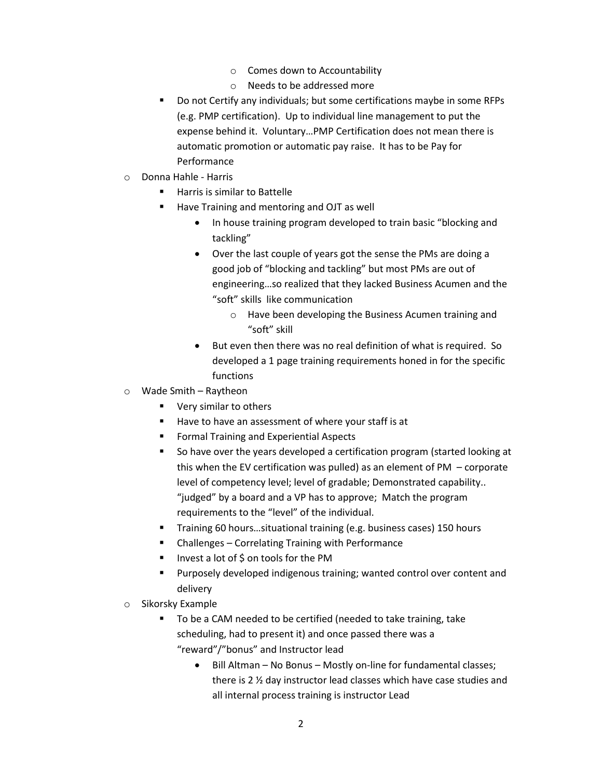- o Comes down to Accountability
- o Needs to be addressed more
- Do not Certify any individuals; but some certifications maybe in some RFPs (e.g. PMP certification). Up to individual line management to put the expense behind it. Voluntary…PMP Certification does not mean there is automatic promotion or automatic pay raise. It has to be Pay for Performance
- o Donna Hahle Harris
	- Harris is similar to Battelle
	- Have Training and mentoring and OJT as well
		- In house training program developed to train basic "blocking and tackling"
		- Over the last couple of years got the sense the PMs are doing a good job of "blocking and tackling" but most PMs are out of engineering…so realized that they lacked Business Acumen and the "soft" skills like communication
			- o Have been developing the Business Acumen training and "soft" skill
		- But even then there was no real definition of what is required. So developed a 1 page training requirements honed in for the specific functions
- o Wade Smith Raytheon
	- **Very similar to others**
	- Have to have an assessment of where your staff is at
	- **Fig. 2** Formal Training and Experiential Aspects
	- So have over the years developed a certification program (started looking at this when the EV certification was pulled) as an element of PM  $-$  corporate level of competency level; level of gradable; Demonstrated capability.. "judged" by a board and a VP has to approve; Match the program requirements to the "level" of the individual.
	- Training 60 hours…situational training (e.g. business cases) 150 hours
	- Challenges Correlating Training with Performance
	- Invest a lot of \$ on tools for the PM
	- Purposely developed indigenous training; wanted control over content and delivery
- o Sikorsky Example
	- To be a CAM needed to be certified (needed to take training, take scheduling, had to present it) and once passed there was a "reward"/"bonus" and Instructor lead
		- Bill Altman No Bonus Mostly on-line for fundamental classes; there is 2 ½ day instructor lead classes which have case studies and all internal process training is instructor Lead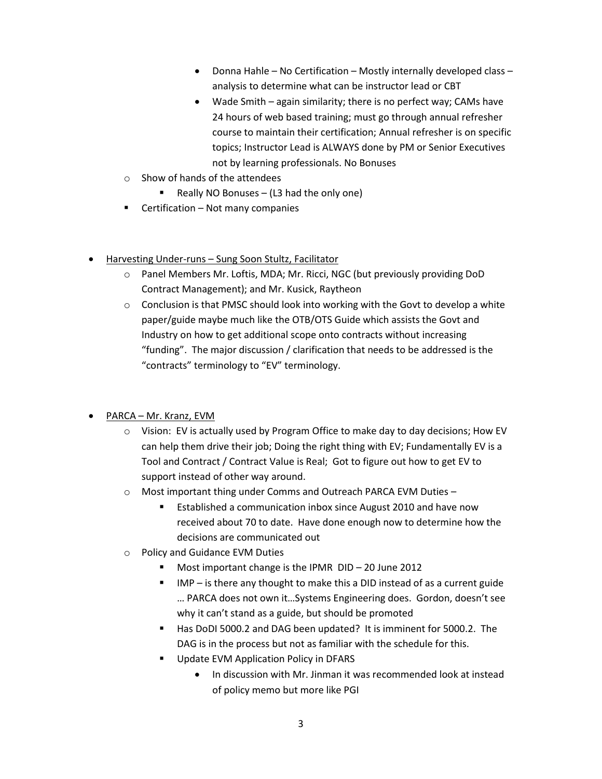- $\bullet$  Donna Hahle No Certification Mostly internally developed class analysis to determine what can be instructor lead or CBT
- Wade Smith again similarity; there is no perfect way; CAMs have 24 hours of web based training; must go through annual refresher course to maintain their certification; Annual refresher is on specific topics; Instructor Lead is ALWAYS done by PM or Senior Executives not by learning professionals. No Bonuses
- o Show of hands of the attendees
	- Really NO Bonuses (L3 had the only one)
- $\blacksquare$  Certification Not many companies
- Harvesting Under-runs Sung Soon Stultz, Facilitator
	- o Panel Members Mr. Loftis, MDA; Mr. Ricci, NGC (but previously providing DoD Contract Management); and Mr. Kusick, Raytheon
	- $\circ$  Conclusion is that PMSC should look into working with the Govt to develop a white paper/guide maybe much like the OTB/OTS Guide which assists the Govt and Industry on how to get additional scope onto contracts without increasing "funding". The major discussion / clarification that needs to be addressed is the "contracts" terminology to "EV" terminology.
- PARCA Mr. Kranz, EVM
	- $\circ$  Vision: EV is actually used by Program Office to make day to day decisions; How EV can help them drive their job; Doing the right thing with EV; Fundamentally EV is a Tool and Contract / Contract Value is Real; Got to figure out how to get EV to support instead of other way around.
	- o Most important thing under Comms and Outreach PARCA EVM Duties
		- Established a communication inbox since August 2010 and have now received about 70 to date. Have done enough now to determine how the decisions are communicated out
	- o Policy and Guidance EVM Duties
		- Most important change is the IPMR DID 20 June 2012
		- IMP is there any thought to make this a DID instead of as a current guide … PARCA does not own it…Systems Engineering does. Gordon, doesn't see why it can't stand as a guide, but should be promoted
		- Has DoDI 5000.2 and DAG been updated? It is imminent for 5000.2. The DAG is in the process but not as familiar with the schedule for this.
		- Update EVM Application Policy in DFARS
			- In discussion with Mr. Jinman it was recommended look at instead of policy memo but more like PGI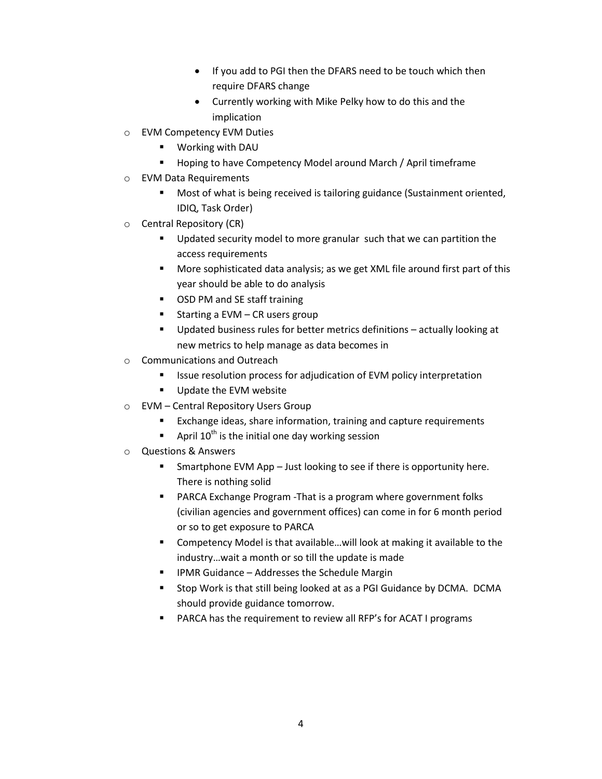- If you add to PGI then the DFARS need to be touch which then require DFARS change
- Currently working with Mike Pelky how to do this and the implication
- o EVM Competency EVM Duties
	- Working with DAU
	- **Hoping to have Competency Model around March / April timeframe**
- o EVM Data Requirements
	- Most of what is being received is tailoring guidance (Sustainment oriented, IDIQ, Task Order)
- o Central Repository (CR)
	- **Updated security model to more granular such that we can partition the** access requirements
	- More sophisticated data analysis; as we get XML file around first part of this year should be able to do analysis
	- OSD PM and SE staff training
	- Starting a EVM CR users group
	- Updated business rules for better metrics definitions actually looking at new metrics to help manage as data becomes in
- o Communications and Outreach
	- Issue resolution process for adjudication of EVM policy interpretation
	- **Update the EVM website**
- o EVM Central Repository Users Group
	- Exchange ideas, share information, training and capture requirements
	- April  $10^{th}$  is the initial one day working session
- o Questions & Answers
	- **Smartphone EVM App Just looking to see if there is opportunity here.** There is nothing solid
	- PARCA Exchange Program -That is a program where government folks (civilian agencies and government offices) can come in for 6 month period or so to get exposure to PARCA
	- Competency Model is that available…will look at making it available to the industry…wait a month or so till the update is made
	- IPMR Guidance Addresses the Schedule Margin
	- **E** Stop Work is that still being looked at as a PGI Guidance by DCMA. DCMA should provide guidance tomorrow.
	- PARCA has the requirement to review all RFP's for ACAT I programs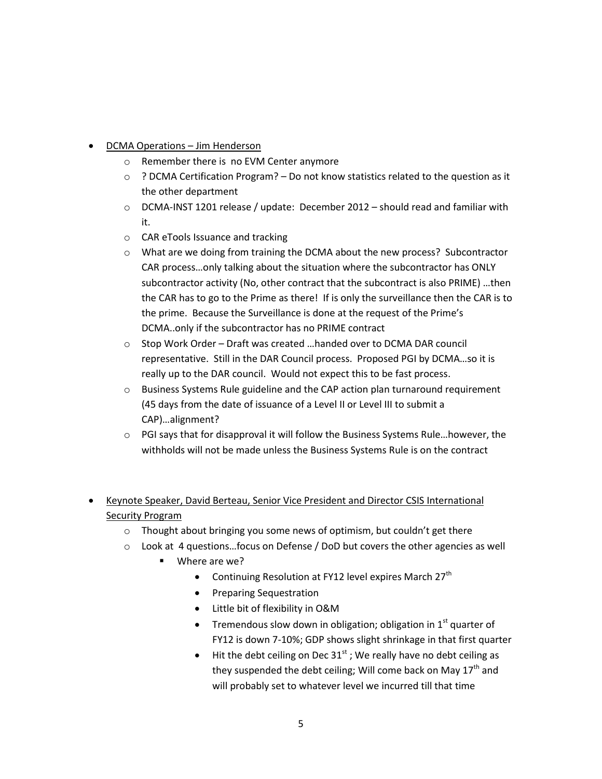- DCMA Operations Jim Henderson
	- o Remember there is no EVM Center anymore
	- $\circ$  ? DCMA Certification Program? Do not know statistics related to the question as it the other department
	- $\circ$  DCMA-INST 1201 release / update: December 2012 should read and familiar with it.
	- o CAR eTools Issuance and tracking
	- o What are we doing from training the DCMA about the new process? Subcontractor CAR process…only talking about the situation where the subcontractor has ONLY subcontractor activity (No, other contract that the subcontract is also PRIME) …then the CAR has to go to the Prime as there! If is only the surveillance then the CAR is to the prime. Because the Surveillance is done at the request of the Prime's DCMA..only if the subcontractor has no PRIME contract
	- o Stop Work Order Draft was created …handed over to DCMA DAR council representative. Still in the DAR Council process. Proposed PGI by DCMA…so it is really up to the DAR council. Would not expect this to be fast process.
	- o Business Systems Rule guideline and the CAP action plan turnaround requirement (45 days from the date of issuance of a Level II or Level III to submit a CAP)…alignment?
	- $\circ$  PGI says that for disapproval it will follow the Business Systems Rule... however, the withholds will not be made unless the Business Systems Rule is on the contract
- Keynote Speaker, David Berteau, Senior Vice President and Director CSIS International Security Program
	- o Thought about bringing you some news of optimism, but couldn't get there
	- o Look at 4 questions…focus on Defense / DoD but covers the other agencies as well
		- Where are we?
			- Continuing Resolution at FY12 level expires March 27<sup>th</sup>
			- **•** Preparing Sequestration
			- Little bit of flexibility in O&M
			- Tremendous slow down in obligation; obligation in  $1<sup>st</sup>$  quarter of FY12 is down 7-10%; GDP shows slight shrinkage in that first quarter
			- $\bullet$  Hit the debt ceiling on Dec 31<sup>st</sup>; We really have no debt ceiling as they suspended the debt ceiling; Will come back on May  $17<sup>th</sup>$  and will probably set to whatever level we incurred till that time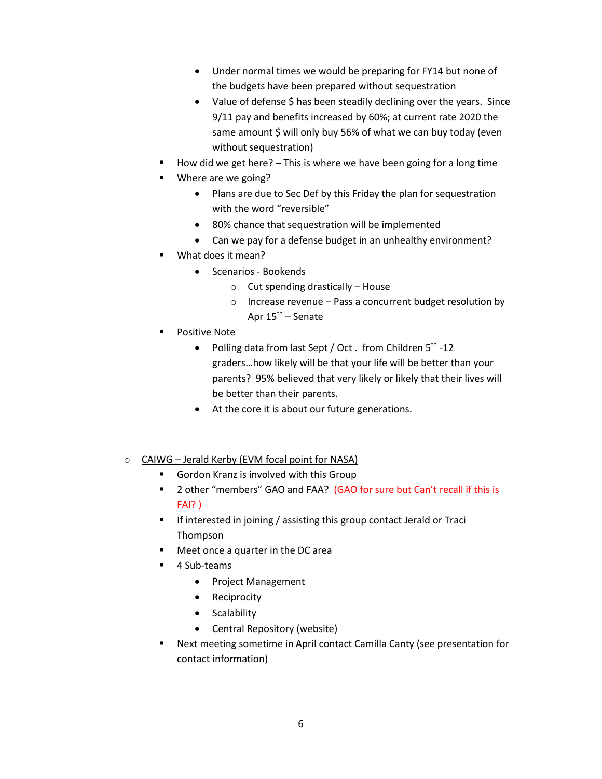- Under normal times we would be preparing for FY14 but none of the budgets have been prepared without sequestration
- Value of defense \$ has been steadily declining over the years. Since 9/11 pay and benefits increased by 60%; at current rate 2020 the same amount \$ will only buy 56% of what we can buy today (even without sequestration)
- How did we get here? This is where we have been going for a long time
- Where are we going?
	- Plans are due to Sec Def by this Friday the plan for sequestration with the word "reversible"
	- 80% chance that sequestration will be implemented
	- Can we pay for a defense budget in an unhealthy environment?
- What does it mean?
	- Scenarios Bookends
		- $\circ$  Cut spending drastically House
		- o Increase revenue Pass a concurrent budget resolution by Apr 15<sup>th</sup> – Senate
- Positive Note
	- Polling data from last Sept / Oct. from Children  $5^{th}$ -12 graders…how likely will be that your life will be better than your parents? 95% believed that very likely or likely that their lives will be better than their parents.
	- At the core it is about our future generations.
- o CAIWG Jerald Kerby (EVM focal point for NASA)
	- Gordon Kranz is involved with this Group
	- 2 other "members" GAO and FAA? (GAO for sure but Can't recall if this is FAI? )
	- **If interested in joining / assisting this group contact Jerald or Traci** Thompson
	- Meet once a quarter in the DC area
	- 4 Sub-teams
		- Project Management
		- Reciprocity
		- Scalability
		- Central Repository (website)
	- Next meeting sometime in April contact Camilla Canty (see presentation for contact information)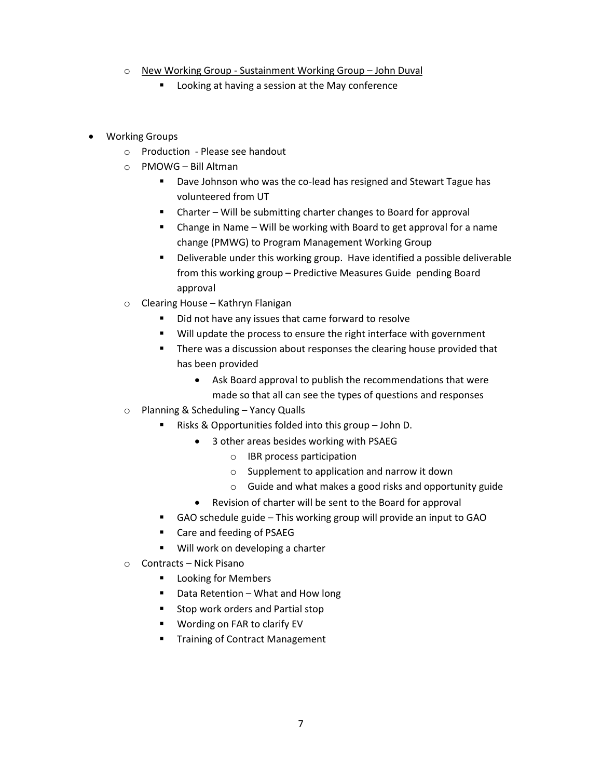- o New Working Group Sustainment Working Group John Duval
	- **EXECT** Looking at having a session at the May conference
- Working Groups
	- o Production Please see handout
	- o PMOWG Bill Altman
		- **Dave Johnson who was the co-lead has resigned and Stewart Tague has** volunteered from UT
		- Charter Will be submitting charter changes to Board for approval
		- Change in Name Will be working with Board to get approval for a name change (PMWG) to Program Management Working Group
		- Deliverable under this working group. Have identified a possible deliverable from this working group – Predictive Measures Guide pending Board approval
	- o Clearing House Kathryn Flanigan
		- Did not have any issues that came forward to resolve
		- **Will update the process to ensure the right interface with government**
		- There was a discussion about responses the clearing house provided that has been provided
			- Ask Board approval to publish the recommendations that were made so that all can see the types of questions and responses
	- o Planning & Scheduling Yancy Qualls
		- Risks & Opportunities folded into this group John D.
			- 3 other areas besides working with PSAEG
				- o IBR process participation
				- o Supplement to application and narrow it down
				- o Guide and what makes a good risks and opportunity guide
			- Revision of charter will be sent to the Board for approval
		- GAO schedule guide This working group will provide an input to GAO
		- Care and feeding of PSAEG
		- Will work on developing a charter
	- o Contracts Nick Pisano
		- **Looking for Members**
		- Data Retention What and How long
		- **Stop work orders and Partial stop**
		- Wording on FAR to clarify EV
		- Training of Contract Management